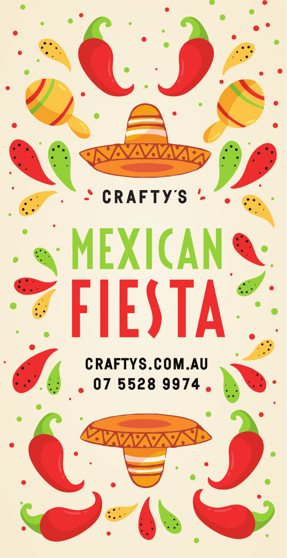CRAFT **Y'S** 

# EXICA fiestA

craftys.com.au 07 5528 9974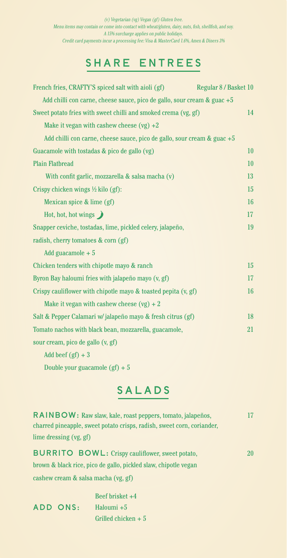(v) Vegetarian (vg) Vegan (gf) Gluten free. Menu items may contain or come into contact with wheat/gluten, dairy, nuts, fish, shellfish, and soy. A 15% surcharge applies on public holidays. Credit card payments incur a processing fee: Visa & MasterCard 1.6%, Amex & Diners 3%

#### SHARE ENTREES

| French fries, CRAFTY'S spiced salt with aioli (gf)                      | Regular 8 / Basket 10 |
|-------------------------------------------------------------------------|-----------------------|
| Add chilli con carne, cheese sauce, pico de gallo, sour cream & guac +5 |                       |
| Sweet potato fries with sweet chilli and smoked crema (vg, gf)          | 14                    |
| Make it vegan with cashew cheese $(vg) +2$                              |                       |
| Add chilli con carne, cheese sauce, pico de gallo, sour cream & guac +5 |                       |
| Guacamole with tostadas & pico de gallo (vg)                            | 10                    |
| <b>Plain Flatbread</b>                                                  | 10                    |
| With confit garlic, mozzarella & salsa macha (v)                        | 13                    |
| Crispy chicken wings $\frac{1}{2}$ kilo (gf):                           | 15                    |
| Mexican spice & lime (gf)                                               | 16                    |
| Hot, hot, hot wings $\bigtriangledown$                                  | 17                    |
| Snapper ceviche, tostadas, lime, pickled celery, jalapeño,              | 19                    |
| radish, cherry tomatoes & corn (gf)                                     |                       |
| Add guacamole $+5$                                                      |                       |
| Chicken tenders with chipotle mayo & ranch                              | 15                    |
| Byron Bay haloumi fries with jalapeño mayo (v, gf)                      | 17                    |
| Crispy cauliflower with chipotle mayo $\&$ toasted pepita $(v, gf)$     | 16                    |
| Make it vegan with cashew cheese $(vg) + 2$                             |                       |
| Salt & Pepper Calamari w/ jalapeño mayo & fresh citrus (gf)             | 18                    |
| Tomato nachos with black bean, mozzarella, guacamole,                   | 21                    |
| sour cream, pico de gallo (v, gf)                                       |                       |
| Add beef $(gf) + 3$                                                     |                       |
| Double your guacamole $(gf) + 5$                                        |                       |

SALADS

| RAINBOW: Raw slaw, kale, roast peppers, tomato, jalapeños,             | 17 |
|------------------------------------------------------------------------|----|
| charred pineapple, sweet potato crisps, radish, sweet corn, coriander, |    |
| lime dressing (vg, gf)                                                 |    |
| <b>BURRITO BOWL:</b> Crispy cauliflower, sweet potato,                 | 20 |
| brown & black rice, pico de gallo, pickled slaw, chipotle vegan        |    |
| cashew cream & salsa macha (vg, gf)                                    |    |

|                 | Beef brisket $+4$    |
|-----------------|----------------------|
| <b>ADD ONS:</b> | Haloumi +5           |
|                 | Grilled chicken $+5$ |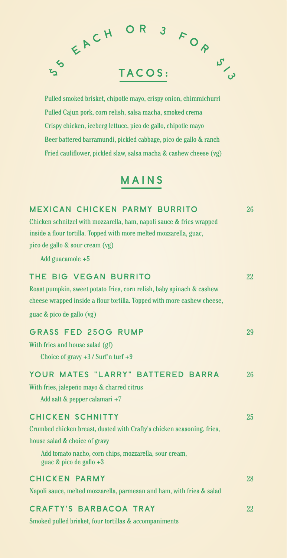

Pulled smoked brisket, chipotle mayo, crispy onion, chimmichurri Pulled Cajun pork, corn relish, salsa macha, smoked crema Crispy chicken, iceberg lettuce, pico de gallo, chipotle mayo Beer battered barramundi, pickled cabbage, pico de gallo & ranch Fried cauliflower, pickled slaw, salsa macha & cashew cheese (vg)

#### MAINS

| <b>MEXICAN CHICKEN PARMY BURRITO</b>                                                  | 26 |
|---------------------------------------------------------------------------------------|----|
| Chicken schnitzel with mozzarella, ham, napoli sauce & fries wrapped                  |    |
| inside a flour tortilla. Topped with more melted mozzarella, guac,                    |    |
| pico de gallo & sour cream (vg)                                                       |    |
| Add guacamole $+5$                                                                    |    |
| THE BIG VEGAN BURRITO                                                                 | 22 |
| Roast pumpkin, sweet potato fries, corn relish, baby spinach & cashew                 |    |
| cheese wrapped inside a flour tortilla. Topped with more cashew cheese,               |    |
| guac & pico de gallo (vg)                                                             |    |
| <b>GRASS FED 250G RUMP</b>                                                            | 29 |
| With fries and house salad (gf)                                                       |    |
| Choice of gravy $+3$ / Surf'n turf $+9$                                               |    |
| YOUR MATES "LARRY" BATTERED BARRA                                                     | 26 |
| With fries, jalepeño mayo & charred citrus                                            |    |
| Add salt & pepper calamari +7                                                         |    |
| <b>CHICKEN SCHNITTY</b>                                                               | 25 |
| Crumbed chicken breast, dusted with Crafty's chicken seasoning, fries,                |    |
| house salad & choice of gravy                                                         |    |
| Add tomato nacho, corn chips, mozzarella, sour cream,<br>guac $\&$ pico de gallo $+3$ |    |
| <b>CHICKEN PARMY</b>                                                                  | 28 |
| Napoli sauce, melted mozzarella, parmesan and ham, with fries & salad                 |    |
| <b>CRAFTY'S BARBACOA TRAY</b>                                                         | 22 |
| Smoked pulled brisket, four tortillas & accompaniments                                |    |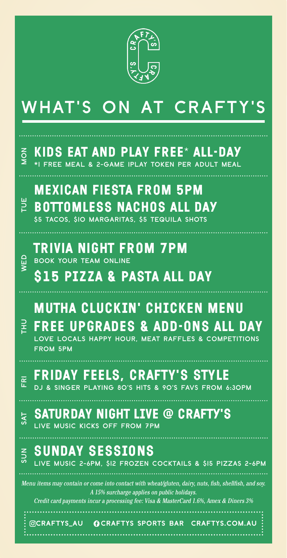

### WHAT'S ON AT CRAFTY'

#### kids eat and play free\* ALL-DAY \*1 FREE MEAL & 2-GAME IPLAY TOKEN PER ADULT MEAL mexican fiesta from 5pm  $\overline{6}$ TUE WED TH<sub>U</sub> FRI SAT SUN Menu items may contain or come into contact with wheat/gluten, dairy, nuts, fish, shellfish, and soy. A 15% surcharge applies on public holidays. Credit card payments incur a processing fee: Visa & MasterCard 1.6%, Amex & Diners 3% BOTTOMLESS NACHOS ALL DAY \$5 TACOS, \$10 MARGARITAS, \$5 TEQUILA SHOTS trivia night from 7pm BOOK YOUR TEAM ONLINE **S15 PIZZA & PASTA ALL DAY** MUTHA CLUCKIN' CHICKEN MENU FREE UPGRADES & ADD-ONS all day LOVE LOCALS HAPPY HOUR, MEAT RAFFLES & COMPETITIONS FROM 5PM friday feels, crafty's style DJ & SINGER PLAYING 80'S HITS & 90'S FAVS FROM 6:30PM saturday night LIVE @ CRAFTY'S LIVE MUSIC KICKS OFF FROM 7PM **SUNDAY SESSIONS** LIVE MUSIC 2-6PM, \$12 FROZEN COCKTAILS & \$15 PIZZAS 2-6PM

CRAFTYS\_AU CRAFTYS SPORTS BAR CRAFTYS.COM.AU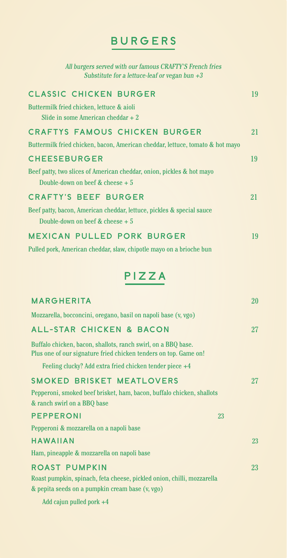#### BURGERS

All burgers served with our famous CRAFTY'S French fries Substitute for a lettuce-leaf or vegan bun  $+3$ 

| <b>CLASSIC CHICKEN BURGER</b>                                                 | 19 |
|-------------------------------------------------------------------------------|----|
| Buttermilk fried chicken, lettuce & aioli                                     |    |
| Slide in some American cheddar $+2$                                           |    |
| <b>CRAFTYS FAMOUS CHICKEN BURGER</b>                                          | 21 |
| Buttermilk fried chicken, bacon, American cheddar, lettuce, tomato & hot mayo |    |
| <b>CHEESEBURGER</b>                                                           | 19 |
| Beef patty, two slices of American cheddar, onion, pickles & hot mayo         |    |
| Double-down on beef & cheese $+5$                                             |    |
| <b>CRAFTY'S BEEF BURGER</b>                                                   | 21 |
| Beef patty, bacon, American cheddar, lettuce, pickles & special sauce         |    |
| Double-down on beef & cheese $+5$                                             |    |
| <b>MEXICAN PULLED PORK BURGER</b>                                             | 19 |

Pulled pork, American cheddar, slaw, chipotle mayo on a brioche bun

#### PIZZA

| <b>MARGHERITA</b>                                                                                                                 | <b>20</b> |
|-----------------------------------------------------------------------------------------------------------------------------------|-----------|
| Mozzarella, bocconcini, oregano, basil on napoli base (v, vgo)                                                                    |           |
| <b>ALL-STAR CHICKEN &amp; BACON</b>                                                                                               | 27        |
| Buffalo chicken, bacon, shallots, ranch swirl, on a BBQ base.<br>Plus one of our signature fried chicken tenders on top. Game on! |           |
| Feeling clucky? Add extra fried chicken tender piece +4                                                                           |           |
| <b>SMOKED BRISKET MEATLOVERS</b>                                                                                                  | 27        |
| Pepperoni, smoked beef brisket, ham, bacon, buffalo chicken, shallots                                                             |           |
| & ranch swirl on a BBQ base                                                                                                       |           |
| <b>PEPPERONI</b>                                                                                                                  | 23        |
| Pepperoni & mozzarella on a napoli base                                                                                           |           |
| <b>HAWAIIAN</b>                                                                                                                   | 23        |
| Ham, pineapple & mozzarella on napoli base                                                                                        |           |
| <b>ROAST PUMPKIN</b>                                                                                                              | 23        |
| Roast pumpkin, spinach, feta cheese, pickled onion, chilli, mozzarella                                                            |           |
| & pepita seeds on a pumpkin cream base (v, vgo)                                                                                   |           |
| Add cajun pulled pork +4                                                                                                          |           |